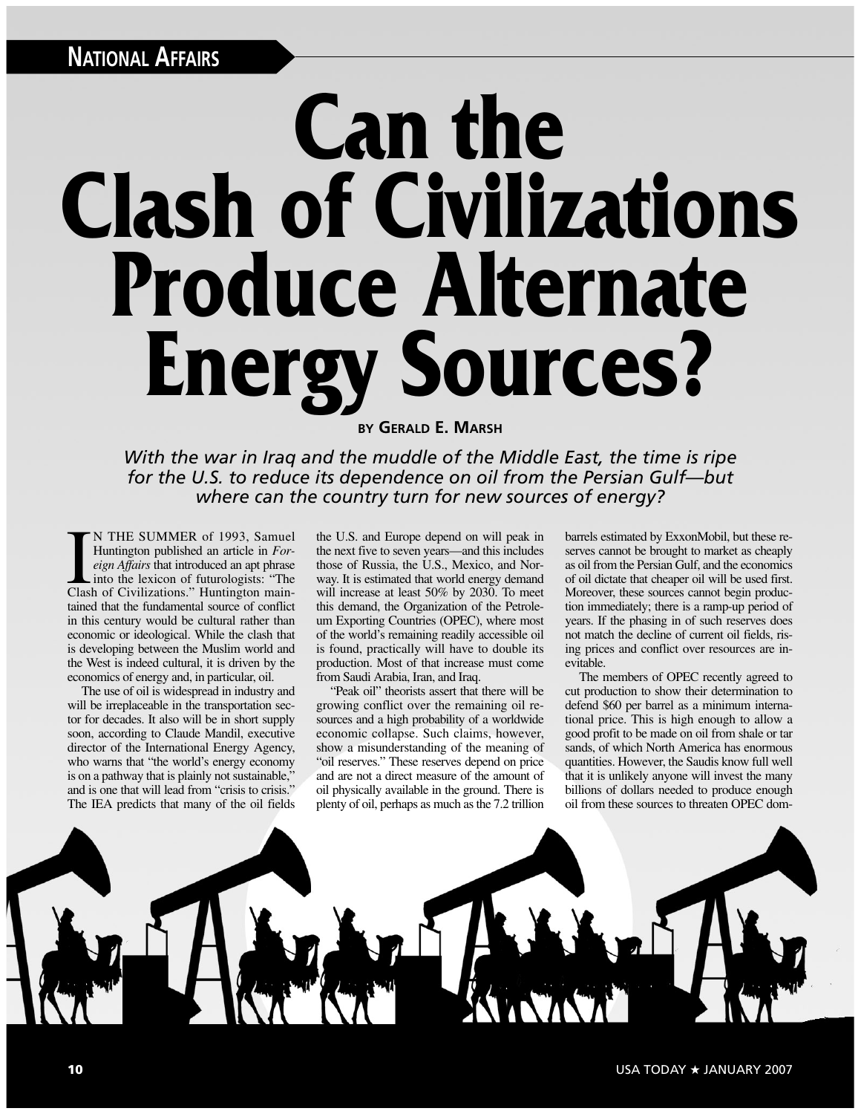## **Can the Clash of Civilizations Produce Alternate Energy Sources?**

**BY GERALD E. MARSH**

*With the war in Iraq and the muddle of the Middle East, the time is ripe for the U.S. to reduce its dependence on oil from the Persian Gulf—but where can the country turn for new sources of energy?*

N THE SUMMER of 1993, Samuel<br>Huntington published an article in *For-*<br>*eign Affairs* that introduced an apt phrase<br>into the lexicon of futurologists: "The<br>Clash of Civilizations." Huntington main-N THE SUMMER of 1993, Samuel Huntington published an article in *Foreign Affairs* that introduced an apt phrase into the lexicon of futurologists: "The tained that the fundamental source of conflict in this century would be cultural rather than economic or ideological. While the clash that is developing between the Muslim world and the West is indeed cultural, it is driven by the economics of energy and, in particular, oil.

The use of oil is widespread in industry and will be irreplaceable in the transportation sector for decades. It also will be in short supply soon, according to Claude Mandil, executive director of the International Energy Agency, who warns that "the world's energy economy is on a pathway that is plainly not sustainable," and is one that will lead from "crisis to crisis." The IEA predicts that many of the oil fields

the U.S. and Europe depend on will peak in the next five to seven years—and this includes those of Russia, the U.S., Mexico, and Norway. It is estimated that world energy demand will increase at least 50% by 2030. To meet this demand, the Organization of the Petroleum Exporting Countries (OPEC), where most of the world's remaining readily accessible oil is found, practically will have to double its production. Most of that increase must come from Saudi Arabia, Iran, and Iraq.

"Peak oil" theorists assert that there will be growing conflict over the remaining oil resources and a high probability of a worldwide economic collapse. Such claims, however, show a misunderstanding of the meaning of "oil reserves." These reserves depend on price and are not a direct measure of the amount of oil physically available in the ground. There is plenty of oil, perhaps as much as the 7.2 trillion

barrels estimated by ExxonMobil, but these reserves cannot be brought to market as cheaply as oil from the Persian Gulf, and the economics of oil dictate that cheaper oil will be used first. Moreover, these sources cannot begin production immediately; there is a ramp-up period of years. If the phasing in of such reserves does not match the decline of current oil fields, rising prices and conflict over resources are inevitable.

The members of OPEC recently agreed to cut production to show their determination to defend \$60 per barrel as a minimum international price. This is high enough to allow a good profit to be made on oil from shale or tar sands, of which North America has enormous quantities. However, the Saudis know full well that it is unlikely anyone will invest the many billions of dollars needed to produce enough oil from these sources to threaten OPEC dom-

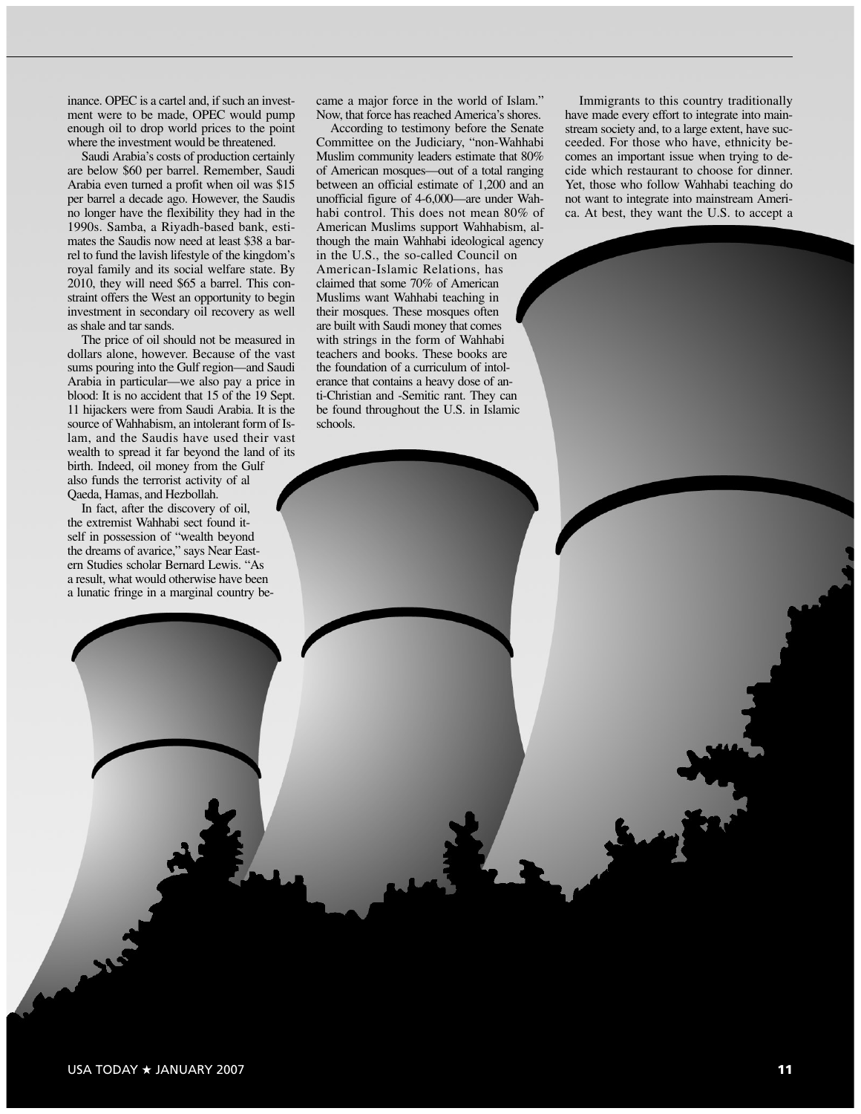inance. OPEC is a cartel and, if such an investment were to be made, OPEC would pump enough oil to drop world prices to the point where the investment would be threatened.

Saudi Arabia's costs of production certainly are below \$60 per barrel. Remember, Saudi Arabia even turned a profit when oil was \$15 per barrel a decade ago. However, the Saudis no longer have the flexibility they had in the 1990s. Samba, a Riyadh-based bank, estimates the Saudis now need at least \$38 a barrel to fund the lavish lifestyle of the kingdom's royal family and its social welfare state. By 2010, they will need \$65 a barrel. This constraint offers the West an opportunity to begin investment in secondary oil recovery as well as shale and tar sands.

The price of oil should not be measured in dollars alone, however. Because of the vast sums pouring into the Gulf region—and Saudi Arabia in particular—we also pay a price in blood: It is no accident that 15 of the 19 Sept. 11 hijackers were from Saudi Arabia. It is the source of Wahhabism, an intolerant form of Islam, and the Saudis have used their vast wealth to spread it far beyond the land of its birth. Indeed, oil money from the Gulf also funds the terrorist activity of al Qaeda, Hamas, and Hezbollah.

In fact, after the discovery of oil, the extremist Wahhabi sect found itself in possession of "wealth beyond the dreams of avarice," says Near Eastern Studies scholar Bernard Lewis. "As a result, what would otherwise have been a lunatic fringe in a marginal country became a major force in the world of Islam." Now, that force has reached America's shores.

According to testimony before the Senate Committee on the Judiciary, "non-Wahhabi Muslim community leaders estimate that 80% of American mosques—out of a total ranging between an official estimate of 1,200 and an unofficial figure of 4-6,000—are under Wahhabi control. This does not mean 80% of American Muslims support Wahhabism, although the main Wahhabi ideological agency in the U.S., the so-called Council on American-Islamic Relations, has claimed that some 70% of American Muslims want Wahhabi teaching in their mosques. These mosques often are built with Saudi money that comes with strings in the form of Wahhabi teachers and books. These books are the foundation of a curriculum of intolerance that contains a heavy dose of anti-Christian and -Semitic rant. They can be found throughout the U.S. in Islamic schools.

Immigrants to this country traditionally have made every effort to integrate into mainstream society and, to a large extent, have succeeded. For those who have, ethnicity becomes an important issue when trying to decide which restaurant to choose for dinner. Yet, those who follow Wahhabi teaching do not want to integrate into mainstream America. At best, they want the U.S. to accept a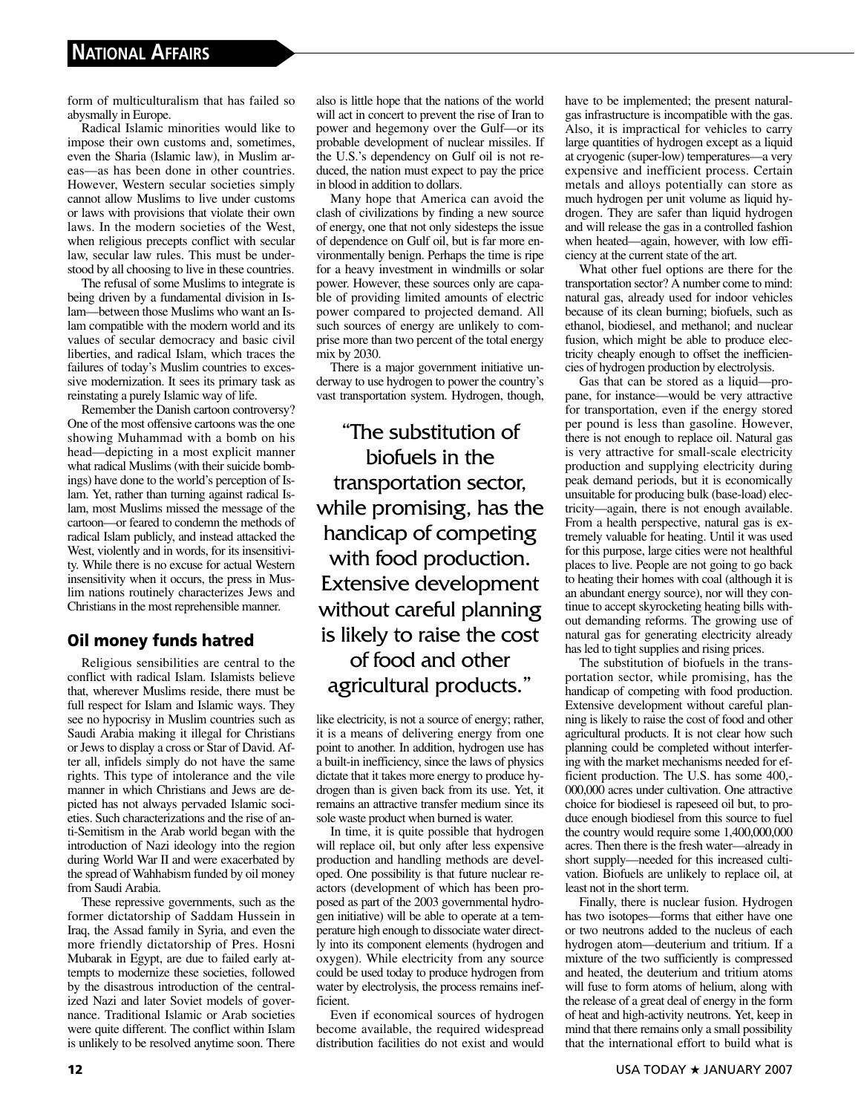form of multiculturalism that has failed so abysmally in Europe.

Radical Islamic minorities would like to impose their own customs and, sometimes, even the Sharia (Islamic law), in Muslim areas—as has been done in other countries. However, Western secular societies simply cannot allow Muslims to live under customs or laws with provisions that violate their own laws. In the modern societies of the West, when religious precepts conflict with secular law, secular law rules. This must be understood by all choosing to live in these countries.

The refusal of some Muslims to integrate is being driven by a fundamental division in Islam—between those Muslims who want an Islam compatible with the modern world and its values of secular democracy and basic civil liberties, and radical Islam, which traces the failures of today's Muslim countries to excessive modernization. It sees its primary task as reinstating a purely Islamic way of life.

Remember the Danish cartoon controversy? One of the most offensive cartoons was the one showing Muhammad with a bomb on his head—depicting in a most explicit manner what radical Muslims (with their suicide bombings) have done to the world's perception of Islam. Yet, rather than turning against radical Islam, most Muslims missed the message of the cartoon—or feared to condemn the methods of radical Islam publicly, and instead attacked the West, violently and in words, for its insensitivity. While there is no excuse for actual Western insensitivity when it occurs, the press in Muslim nations routinely characterizes Jews and Christians in the most reprehensible manner.

## **Oil money funds hatred**

Religious sensibilities are central to the conflict with radical Islam. Islamists believe that, wherever Muslims reside, there must be full respect for Islam and Islamic ways. They see no hypocrisy in Muslim countries such as Saudi Arabia making it illegal for Christians or Jews to display a cross or Star of David. After all, infidels simply do not have the same rights. This type of intolerance and the vile manner in which Christians and Jews are depicted has not always pervaded Islamic societies. Such characterizations and the rise of anti-Semitism in the Arab world began with the introduction of Nazi ideology into the region during World War II and were exacerbated by the spread of Wahhabism funded by oil money from Saudi Arabia.

These repressive governments, such as the former dictatorship of Saddam Hussein in Iraq, the Assad family in Syria, and even the more friendly dictatorship of Pres. Hosni Mubarak in Egypt, are due to failed early attempts to modernize these societies, followed by the disastrous introduction of the centralized Nazi and later Soviet models of governance. Traditional Islamic or Arab societies were quite different. The conflict within Islam is unlikely to be resolved anytime soon. There also is little hope that the nations of the world will act in concert to prevent the rise of Iran to power and hegemony over the Gulf—or its probable development of nuclear missiles. If the U.S.'s dependency on Gulf oil is not reduced, the nation must expect to pay the price in blood in addition to dollars.

Many hope that America can avoid the clash of civilizations by finding a new source of energy, one that not only sidesteps the issue of dependence on Gulf oil, but is far more environmentally benign. Perhaps the time is ripe for a heavy investment in windmills or solar power. However, these sources only are capable of providing limited amounts of electric power compared to projected demand. All such sources of energy are unlikely to comprise more than two percent of the total energy mix by 2030.

There is a major government initiative underway to use hydrogen to power the country's vast transportation system. Hydrogen, though,

"The substitution of biofuels in the transportation sector, while promising, has the handicap of competing with food production. Extensive development without careful planning is likely to raise the cost of food and other agricultural products."

like electricity, is not a source of energy; rather, it is a means of delivering energy from one point to another. In addition, hydrogen use has a built-in inefficiency, since the laws of physics dictate that it takes more energy to produce hydrogen than is given back from its use. Yet, it remains an attractive transfer medium since its sole waste product when burned is water.

In time, it is quite possible that hydrogen will replace oil, but only after less expensive production and handling methods are developed. One possibility is that future nuclear reactors (development of which has been proposed as part of the 2003 governmental hydrogen initiative) will be able to operate at a temperature high enough to dissociate water directly into its component elements (hydrogen and oxygen). While electricity from any source could be used today to produce hydrogen from water by electrolysis, the process remains inefficient.

Even if economical sources of hydrogen become available, the required widespread distribution facilities do not exist and would have to be implemented; the present naturalgas infrastructure is incompatible with the gas. Also, it is impractical for vehicles to carry large quantities of hydrogen except as a liquid at cryogenic (super-low) temperatures—a very expensive and inefficient process. Certain metals and alloys potentially can store as much hydrogen per unit volume as liquid hydrogen. They are safer than liquid hydrogen and will release the gas in a controlled fashion when heated—again, however, with low efficiency at the current state of the art.

What other fuel options are there for the transportation sector? A number come to mind: natural gas, already used for indoor vehicles because of its clean burning; biofuels, such as ethanol, biodiesel, and methanol; and nuclear fusion, which might be able to produce electricity cheaply enough to offset the inefficiencies of hydrogen production by electrolysis.

Gas that can be stored as a liquid—propane, for instance—would be very attractive for transportation, even if the energy stored per pound is less than gasoline. However, there is not enough to replace oil. Natural gas is very attractive for small-scale electricity production and supplying electricity during peak demand periods, but it is economically unsuitable for producing bulk (base-load) electricity—again, there is not enough available. From a health perspective, natural gas is extremely valuable for heating. Until it was used for this purpose, large cities were not healthful places to live. People are not going to go back to heating their homes with coal (although it is an abundant energy source), nor will they continue to accept skyrocketing heating bills without demanding reforms. The growing use of natural gas for generating electricity already has led to tight supplies and rising prices.

The substitution of biofuels in the transportation sector, while promising, has the handicap of competing with food production. Extensive development without careful planning is likely to raise the cost of food and other agricultural products. It is not clear how such planning could be completed without interfering with the market mechanisms needed for efficient production. The U.S. has some 400,- 000,000 acres under cultivation. One attractive choice for biodiesel is rapeseed oil but, to produce enough biodiesel from this source to fuel the country would require some 1,400,000,000 acres. Then there is the fresh water—already in short supply—needed for this increased cultivation. Biofuels are unlikely to replace oil, at least not in the short term.

Finally, there is nuclear fusion. Hydrogen has two isotopes—forms that either have one or two neutrons added to the nucleus of each hydrogen atom—deuterium and tritium. If a mixture of the two sufficiently is compressed and heated, the deuterium and tritium atoms will fuse to form atoms of helium, along with the release of a great deal of energy in the form of heat and high-activity neutrons. Yet, keep in mind that there remains only a small possibility that the international effort to build what is